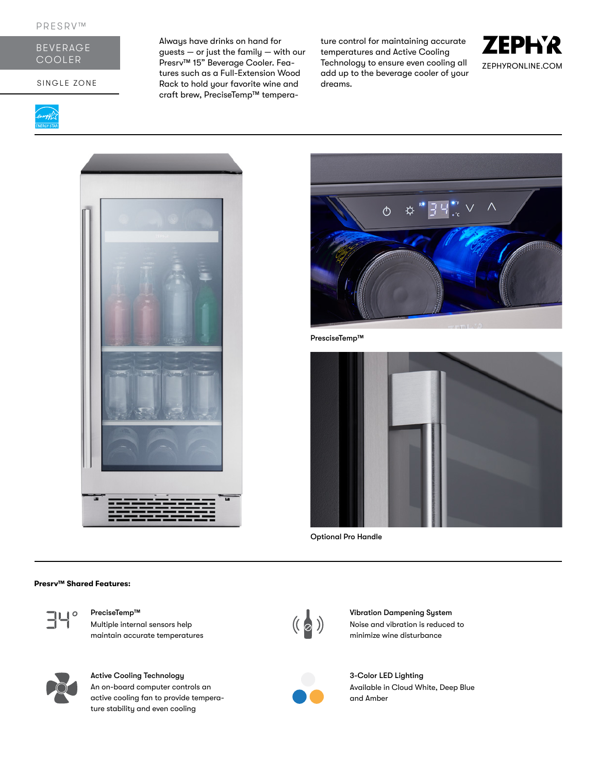

SINGLE ZONE

Always have drinks on hand for guests — or just the family — with our Presrv™ 15" Beverage Cooler. Features such as a Full-Extension Wood Rack to hold your favorite wine and craft brew, PreciseTemp™ temperature control for maintaining accurate temperatures and Active Cooling Technology to ensure even cooling all add up to the beverage cooler of your dreams.







PresciseTemp™



Optional Pro Handle

#### **Presrv™ Shared Features:**



Multiple internal sensors help maintain accurate temperatures



## Active Cooling Technology

An on-board computer controls an active cooling fan to provide temperature stability and even cooling



PreciseTemp™ Vibration Dampening System<br>Multiple internal sensors help (( a ) Vibration Dampening System<br>minimize wine disturbance Noise and vibration is reduced to minimize wine disturbance



3-Color LED Lighting Available in Cloud White, Deep Blue and Amber